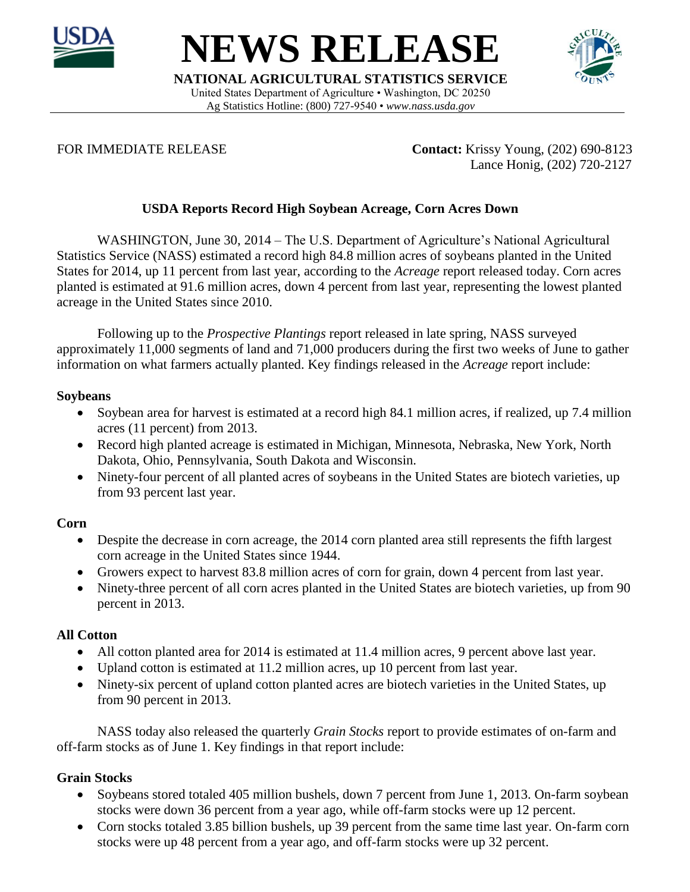

**NEWS RELEASE**

**NATIONAL AGRICULTURAL STATISTICS SERVICE** United States Department of Agriculture • Washington, DC 20250 Ag Statistics Hotline: (800) 727-9540 • *www.nass.usda.gov*



FOR IMMEDIATE RELEASE **Contact:** Krissy Young, (202) 690-8123 Lance Honig, (202) 720-2127

# **USDA Reports Record High Soybean Acreage, Corn Acres Down**

WASHINGTON, June 30, 2014 – The U.S. Department of Agriculture's National Agricultural Statistics Service (NASS) estimated a record high 84.8 million acres of soybeans planted in the United States for 2014, up 11 percent from last year, according to the *Acreage* report released today. Corn acres planted is estimated at 91.6 million acres, down 4 percent from last year, representing the lowest planted acreage in the United States since 2010.

Following up to the *Prospective Plantings* report released in late spring, NASS surveyed approximately 11,000 segments of land and 71,000 producers during the first two weeks of June to gather information on what farmers actually planted. Key findings released in the *Acreage* report include:

### **Soybeans**

- Soybean area for harvest is estimated at a record high 84.1 million acres, if realized, up 7.4 million acres (11 percent) from 2013.
- Record high planted acreage is estimated in Michigan, Minnesota, Nebraska, New York, North Dakota, Ohio, Pennsylvania, South Dakota and Wisconsin.
- Ninety-four percent of all planted acres of soybeans in the United States are biotech varieties, up from 93 percent last year.

### **Corn**

- Despite the decrease in corn acreage, the 2014 corn planted area still represents the fifth largest corn acreage in the United States since 1944.
- Growers expect to harvest 83.8 million acres of corn for grain, down 4 percent from last year.
- Ninety-three percent of all corn acres planted in the United States are biotech varieties, up from 90 percent in 2013.

### **All Cotton**

- All cotton planted area for 2014 is estimated at 11.4 million acres, 9 percent above last year.
- Upland cotton is estimated at 11.2 million acres, up 10 percent from last year.
- Ninety-six percent of upland cotton planted acres are biotech varieties in the United States, up from 90 percent in 2013.

NASS today also released the quarterly *Grain Stocks* report to provide estimates of on-farm and off-farm stocks as of June 1. Key findings in that report include:

## **Grain Stocks**

- Soybeans stored totaled 405 million bushels, down 7 percent from June 1, 2013. On-farm soybean stocks were down 36 percent from a year ago, while off-farm stocks were up 12 percent.
- Corn stocks totaled 3.85 billion bushels, up 39 percent from the same time last year. On-farm corn stocks were up 48 percent from a year ago, and off-farm stocks were up 32 percent.